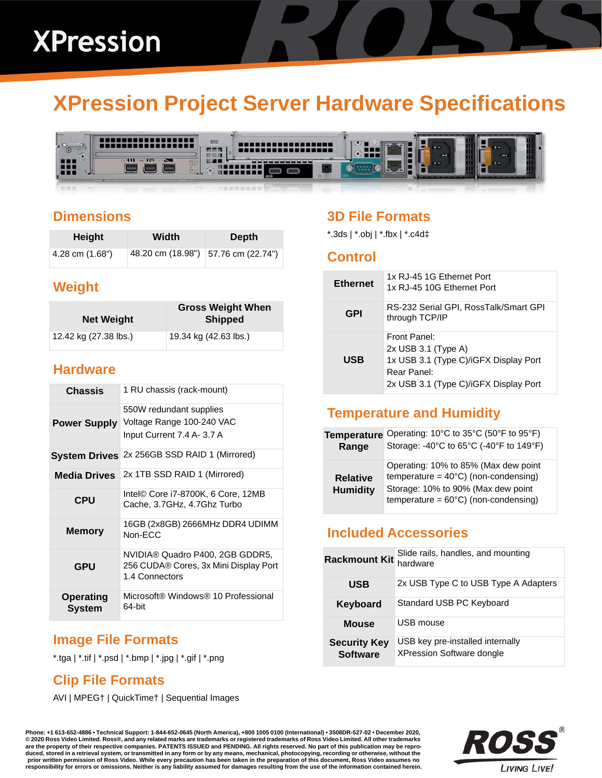# **XPression Project Server Hardware Specifications**



## **Dimensions**

| Height          | Width                               | Depth |
|-----------------|-------------------------------------|-------|
| 4.28 cm (1.68") | 48.20 cm (18.98") 57.76 cm (22.74") |       |

# **Weight**

| <b>Net Weight</b>     | <b>Gross Weight When</b><br><b>Shipped</b> |
|-----------------------|--------------------------------------------|
| 12.42 kg (27.38 lbs.) | 19.34 kg (42.63 lbs.)                      |

### **Hardware**

| <b>Chassis</b>             | 1 RU chassis (rack-mount)                                                                  |
|----------------------------|--------------------------------------------------------------------------------------------|
| <b>Power Supply</b>        | 550W redundant supplies<br>Voltage Range 100-240 VAC<br>Input Current 7.4 A- 3.7 A         |
| <b>System Drives</b>       | 2x 256GB SSD RAID 1 (Mirrored)                                                             |
| <b>Media Drives</b>        | 2x 1TB SSD RAID 1 (Mirrored)                                                               |
| <b>CPU</b>                 | Intel© Core i7-8700K, 6 Core, 12MB<br>Cache, 3.7GHz, 4.7Ghz Turbo                          |
| <b>Memory</b>              | 16GB (2x8GB) 2666MHz DDR4 UDIMM<br>Non-FCC                                                 |
| <b>GPU</b>                 | NVIDIA® Quadro P400, 2GB GDDR5,<br>256 CUDA® Cores, 3x Mini Display Port<br>1.4 Connectors |
| <b>Operating</b><br>System | Microsoft® Windows® 10 Professional<br>64-bit                                              |

# **Image File Formats**

\*.tga | \*.tif | \*.psd | \*.bmp | \*.jpg | \*.gif | \*.png

# **Clip File Formats**

AVI | MPEG† | QuickTime† | Sequential Images

# **3D File Formats**

\*.3ds | \*.obj | \*.fbx | \*.c4d‡

#### **Control**

| <b>Ethernet</b> | 1x RJ-45 1G Ethernet Port<br>1x RJ-45 10G Ethernet Port                                                                                |
|-----------------|----------------------------------------------------------------------------------------------------------------------------------------|
| GPI             | RS-232 Serial GPI, RossTalk/Smart GPI<br>through TCP/IP                                                                                |
| USB             | Front Panel:<br>$2x$ USB 3.1 (Type A)<br>1x USB 3.1 (Type C)/iGFX Display Port<br>Rear Panel:<br>2x USB 3.1 (Type C)/iGFX Display Port |

# **Temperature and Humidity**

| <b>Temperature</b>                 | Operating: 10°C to 35°C (50°F to 95°F)                                                                                                                                         |
|------------------------------------|--------------------------------------------------------------------------------------------------------------------------------------------------------------------------------|
| Range                              | Storage: -40°C to 65°C (-40°F to 149°F)                                                                                                                                        |
| <b>Relative</b><br><b>Humidity</b> | Operating: 10% to 85% (Max dew point<br>temperature = $40^{\circ}$ C) (non-condensing)<br>Storage: 10% to 90% (Max dew point<br>temperature = $60^{\circ}$ C) (non-condensing) |

# **Included Accessories**

| <b>Rackmount Kit</b>                   | Slide rails, handles, and mounting<br>hardware                       |
|----------------------------------------|----------------------------------------------------------------------|
| <b>USB</b>                             | 2x USB Type C to USB Type A Adapters                                 |
| Keyboard                               | Standard USB PC Keyboard                                             |
| <b>Mouse</b>                           | USB mouse                                                            |
| <b>Security Key</b><br><b>Software</b> | USB key pre-installed internally<br><b>XPression Software dongle</b> |